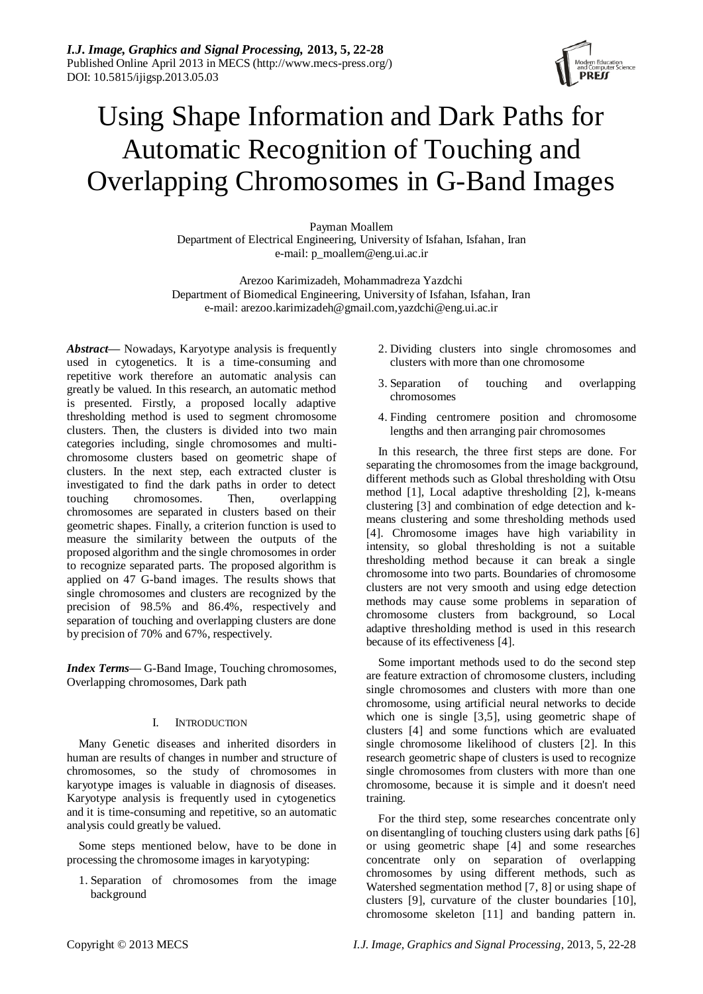

# Using Shape Information and Dark Paths for Automatic Recognition of Touching and Overlapping Chromosomes in G-Band Images

Payman Moallem Department of Electrical Engineering, University of Isfahan, Isfahan, Iran e-mail: p\_moallem@eng.ui.ac.ir

Arezoo Karimizadeh, Mohammadreza Yazdchi Department of Biomedical Engineering, University of Isfahan, Isfahan, Iran e-mail: arezoo.karimizadeh@gmail.com,yazdchi@eng.ui.ac.ir

*Abstract—* Nowadays, Karyotype analysis is frequently used in cytogenetics. It is a time-consuming and repetitive work therefore an automatic analysis can greatly be valued. In this research, an automatic method is presented. Firstly, a proposed locally adaptive thresholding method is used to segment chromosome clusters. Then, the clusters is divided into two main categories including, single chromosomes and multichromosome clusters based on geometric shape of clusters. In the next step, each extracted cluster is investigated to find the dark paths in order to detect touching chromosomes. Then, overlapping chromosomes are separated in clusters based on their geometric shapes. Finally, a criterion function is used to measure the similarity between the outputs of the proposed algorithm and the single chromosomes in order to recognize separated parts. The proposed algorithm is applied on 47 G-band images. The results shows that single chromosomes and clusters are recognized by the precision of 98.5% and 86.4%, respectively and separation of touching and overlapping clusters are done by precision of 70% and 67%, respectively.

*Index Terms*— G-Band Image, Touching chromosomes, Overlapping chromosomes, Dark path

# I. INTRODUCTION

Many Genetic diseases and inherited disorders in human are results of changes in number and structure of chromosomes, so the study of chromosomes in karyotype images is valuable in diagnosis of diseases. Karyotype analysis is frequently used in cytogenetics and it is time-consuming and repetitive, so an automatic analysis could greatly be valued.

Some steps mentioned below, have to be done in processing the chromosome images in karyotyping:

1. Separation of chromosomes from the image background

- 2. Dividing clusters into single chromosomes and clusters with more than one chromosome
- 3. Separation of touching and overlapping chromosomes
- 4. Finding centromere position and chromosome lengths and then arranging pair chromosomes

In this research, the three first steps are done. For separating the chromosomes from the image background, different methods such as Global thresholding with Otsu method [1], Local adaptive thresholding [2], k-means clustering [3] and combination of edge detection and kmeans clustering and some thresholding methods used [4]. Chromosome images have high variability in intensity, so global thresholding is not a suitable thresholding method because it can break a single chromosome into two parts. Boundaries of chromosome clusters are not very smooth and using edge detection methods may cause some problems in separation of chromosome clusters from background, so Local adaptive thresholding method is used in this research because of its effectiveness [4].

Some important methods used to do the second step are feature extraction of chromosome clusters, including single chromosomes and clusters with more than one chromosome, using artificial neural networks to decide which one is single [3,5], using geometric shape of clusters [4] and some functions which are evaluated single chromosome likelihood of clusters [2]. In this research geometric shape of clusters is used to recognize single chromosomes from clusters with more than one chromosome, because it is simple and it doesn't need training.

For the third step, some researches concentrate only on disentangling of touching clusters using dark paths [6] or using geometric shape [4] and some researches concentrate only on separation of overlapping chromosomes by using different methods, such as Watershed segmentation method [7, 8] or using shape of clusters [9], curvature of the cluster boundaries [10], chromosome skeleton [11] and banding pattern in.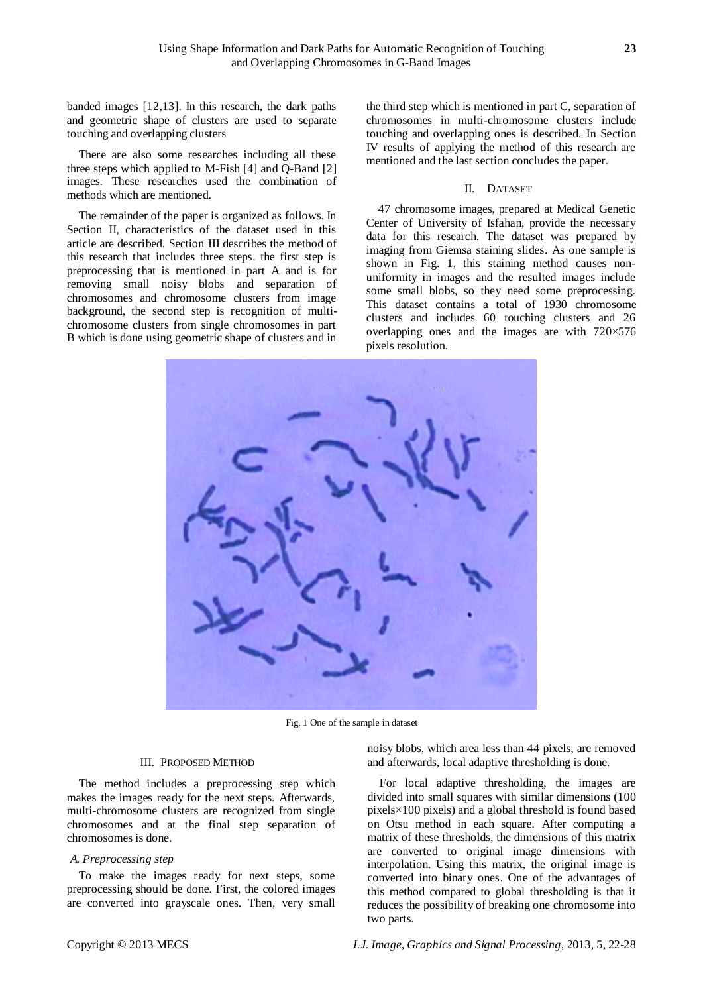banded images [12,13]. In this research, the dark paths and geometric shape of clusters are used to separate touching and overlapping clusters

There are also some researches including all these three steps which applied to M-Fish [4] and Q-Band [2] images. These researches used the combination of methods which are mentioned.

The remainder of the paper is organized as follows. In Section II, characteristics of the dataset used in this article are described. Section III describes the method of this research that includes three steps. the first step is preprocessing that is mentioned in part A and is for removing small noisy blobs and separation of chromosomes and chromosome clusters from image background, the second step is recognition of multichromosome clusters from single chromosomes in part B which is done using geometric shape of clusters and in

the third step which is mentioned in part C, separation of chromosomes in multi-chromosome clusters include touching and overlapping ones is described. In Section IV results of applying the method of this research are mentioned and the last section concludes the paper.

## II. DATASET

47 chromosome images, prepared at Medical Genetic Center of University of Isfahan, provide the necessary data for this research. The dataset was prepared by imaging from Giemsa staining slides. As one sample is shown in Fig. 1, this staining method causes nonuniformity in images and the resulted images include some small blobs, so they need some preprocessing. This dataset contains a total of 1930 chromosome clusters and includes 60 touching clusters and 26 overlapping ones and the images are with  $720\times 576$ pixels resolution.



Fig. 1 One of the sample in dataset

#### III. PROPOSED METHOD

The method includes a preprocessing step which makes the images ready for the next steps. Afterwards, multi-chromosome clusters are recognized from single chromosomes and at the final step separation of chromosomes is done.

## *A. Preprocessing step*

To make the images ready for next steps, some preprocessing should be done. First, the colored images are converted into grayscale ones. Then, very small noisy blobs, which area less than 44 pixels, are removed and afterwards, local adaptive thresholding is done.

For local adaptive thresholding, the images are divided into small squares with similar dimensions (100 pixels×100 pixels) and a global threshold is found based on Otsu method in each square. After computing a matrix of these thresholds, the dimensions of this matrix are converted to original image dimensions with interpolation. Using this matrix, the original image is converted into binary ones. One of the advantages of this method compared to global thresholding is that it reduces the possibility of breaking one chromosome into two parts.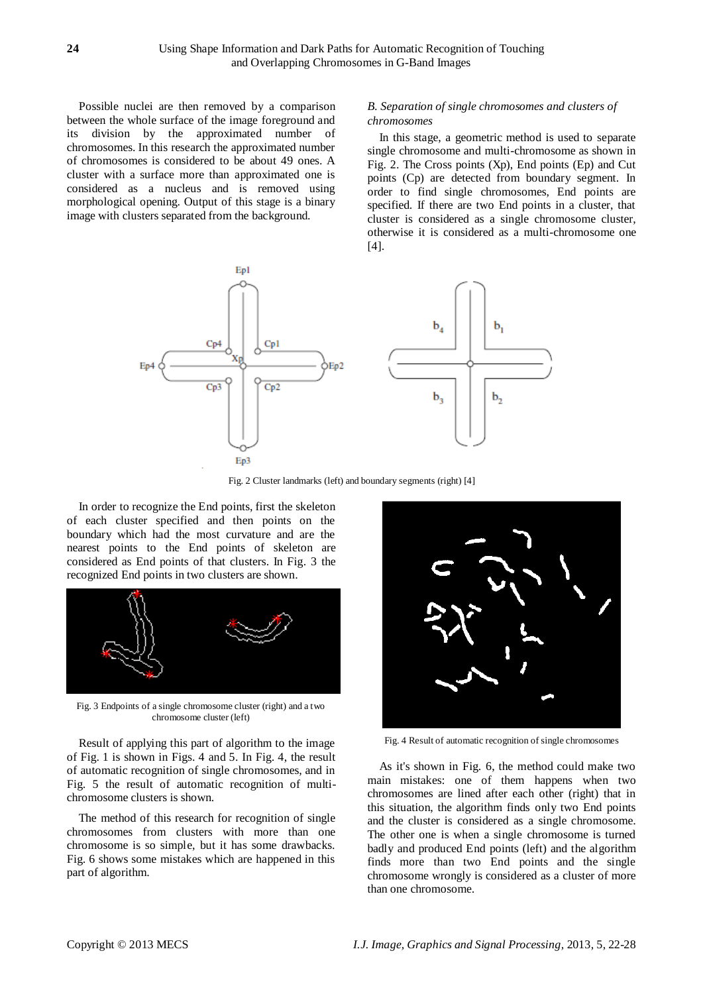Possible nuclei are then removed by a comparison between the whole surface of the image foreground and its division by the approximated number of chromosomes. In this research the approximated number of chromosomes is considered to be about 49 ones. A cluster with a surface more than approximated one is considered as a nucleus and is removed using morphological opening. Output of this stage is a binary image with clusters separated from the background.

## *B. Separation of single chromosomes and clusters of chromosomes*

In this stage, a geometric method is used to separate single chromosome and multi-chromosome as shown in Fig. 2. The Cross points (Xp), End points (Ep) and Cut points (Cp) are detected from boundary segment. In order to find single chromosomes, End points are specified. If there are two End points in a cluster, that cluster is considered as a single chromosome cluster, otherwise it is considered as a multi-chromosome one [4].



Fig. 2 Cluster landmarks (left) and boundary segments (right) [4]

In order to recognize the End points, first the skeleton of each cluster specified and then points on the boundary which had the most curvature and are the nearest points to the End points of skeleton are considered as End points of that clusters. In Fig. 3 the recognized End points in two clusters are shown.



Fig. 3 Endpoints of a single chromosome cluster (right) and a two chromosome cluster (left)

Result of applying this part of algorithm to the image of Fig. 1 is shown in Figs. 4 and 5. In Fig. 4, the result of automatic recognition of single chromosomes, and in Fig. 5 the result of automatic recognition of multichromosome clusters is shown.

The method of this research for recognition of single chromosomes from clusters with more than one chromosome is so simple, but it has some drawbacks. Fig. 6 shows some mistakes which are happened in this part of algorithm.



Fig. 4 Result of automatic recognition of single chromosomes

As it's shown in Fig. 6, the method could make two main mistakes: one of them happens when two chromosomes are lined after each other (right) that in this situation, the algorithm finds only two End points and the cluster is considered as a single chromosome. The other one is when a single chromosome is turned badly and produced End points (left) and the algorithm finds more than two End points and the single chromosome wrongly is considered as a cluster of more than one chromosome.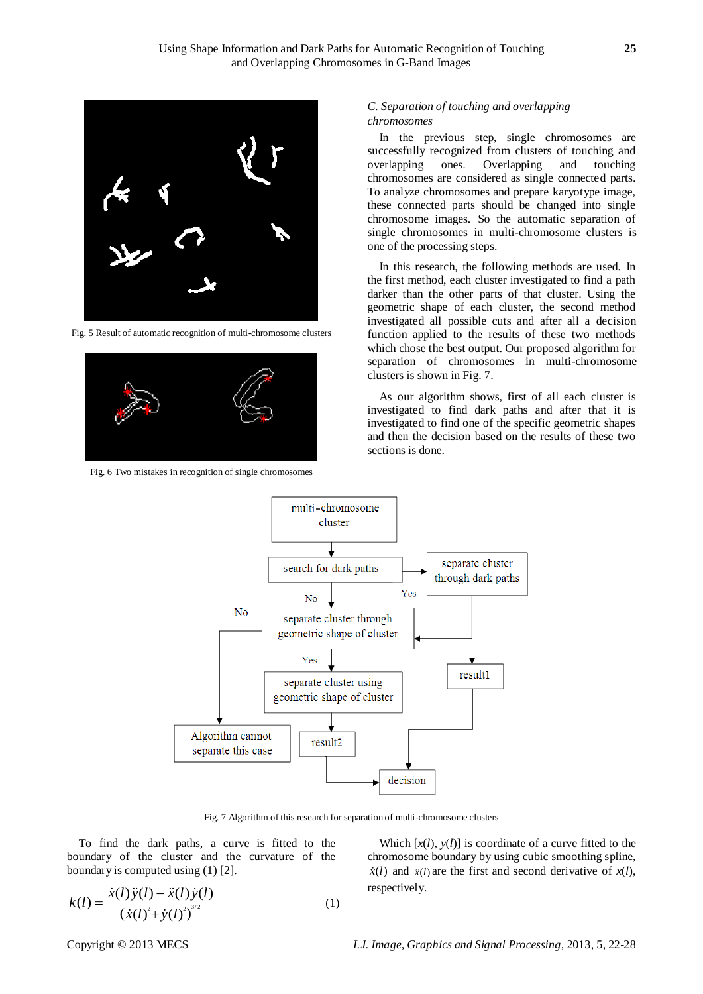

Fig. 5 Result of automatic recognition of multi-chromosome clusters



Fig. 6 Two mistakes in recognition of single chromosomes

# *C. Separation of touching and overlapping chromosomes*

In the previous step, single chromosomes are successfully recognized from clusters of touching and overlapping ones. Overlapping and touching chromosomes are considered as single connected parts. To analyze chromosomes and prepare karyotype image, these connected parts should be changed into single chromosome images. So the automatic separation of single chromosomes in multi-chromosome clusters is one of the processing steps.

In this research, the following methods are used. In the first method, each cluster investigated to find a path darker than the other parts of that cluster. Using the geometric shape of each cluster, the second method investigated all possible cuts and after all a decision function applied to the results of these two methods which chose the best output. Our proposed algorithm for separation of chromosomes in multi-chromosome clusters is shown in Fig. 7.

As our algorithm shows, first of all each cluster is investigated to find dark paths and after that it is investigated to find one of the specific geometric shapes and then the decision based on the results of these two sections is done.



Fig. 7 Algorithm of this research for separation of multi-chromosome clusters

To find the dark paths, a curve is fitted to the boundary of the cluster and the curvature of the boundary is computed using (1) [2].

$$
k(l) = \frac{\dot{x}(l)\ddot{y}(l) - \ddot{x}(l)\dot{y}(l)}{(\dot{x}(l)^{2} + \dot{y}(l)^{2})^{3/2}}
$$
(1)

Which  $[x(l), y(l)]$  is coordinate of a curve fitted to the chromosome boundary by using cubic smoothing spline,  $\dot{x}(l)$  and  $\ddot{x}(l)$  are the first and second derivative of  $x(l)$ , respectively.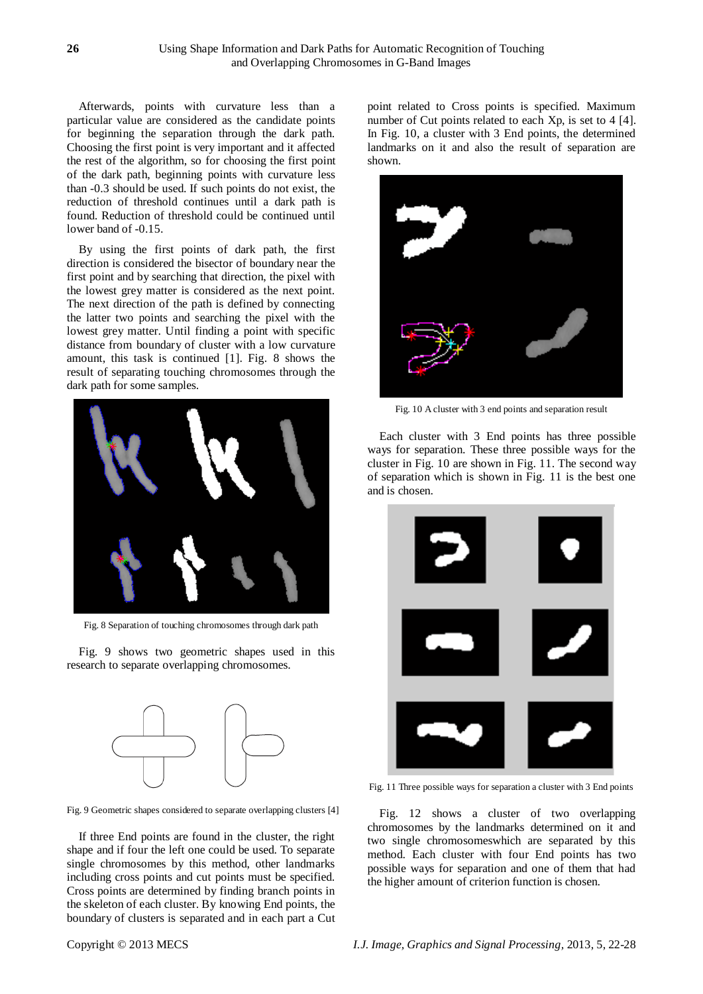Afterwards, points with curvature less than a particular value are considered as the candidate points for beginning the separation through the dark path. Choosing the first point is very important and it affected the rest of the algorithm, so for choosing the first point of the dark path, beginning points with curvature less than -0.3 should be used. If such points do not exist, the reduction of threshold continues until a dark path is found. Reduction of threshold could be continued until lower band of -0.15.

By using the first points of dark path, the first direction is considered the bisector of boundary near the first point and by searching that direction, the pixel with the lowest grey matter is considered as the next point. The next direction of the path is defined by connecting the latter two points and searching the pixel with the lowest grey matter. Until finding a point with specific distance from boundary of cluster with a low curvature amount, this task is continued [1]. Fig. 8 shows the result of separating touching chromosomes through the dark path for some samples.



Fig. 8 Separation of touching chromosomes through dark path

Fig. 9 shows two geometric shapes used in this research to separate overlapping chromosomes.



Fig. 9 Geometric shapes considered to separate overlapping clusters [4]

If three End points are found in the cluster, the right shape and if four the left one could be used. To separate single chromosomes by this method, other landmarks including cross points and cut points must be specified. Cross points are determined by finding branch points in the skeleton of each cluster. By knowing End points, the boundary of clusters is separated and in each part a Cut point related to Cross points is specified. Maximum number of Cut points related to each Xp, is set to 4 [4]. In Fig. 10, a cluster with 3 End points, the determined landmarks on it and also the result of separation are shown.



Fig. 10 A cluster with 3 end points and separation result

Each cluster with 3 End points has three possible ways for separation. These three possible ways for the cluster in Fig. 10 are shown in Fig. 11. The second way of separation which is shown in Fig. 11 is the best one and is chosen.



Fig. 11 Three possible ways for separation a cluster with 3 End points

Fig. 12 shows a cluster of two overlapping chromosomes by the landmarks determined on it and two single chromosomeswhich are separated by this method. Each cluster with four End points has two possible ways for separation and one of them that had the higher amount of criterion function is chosen.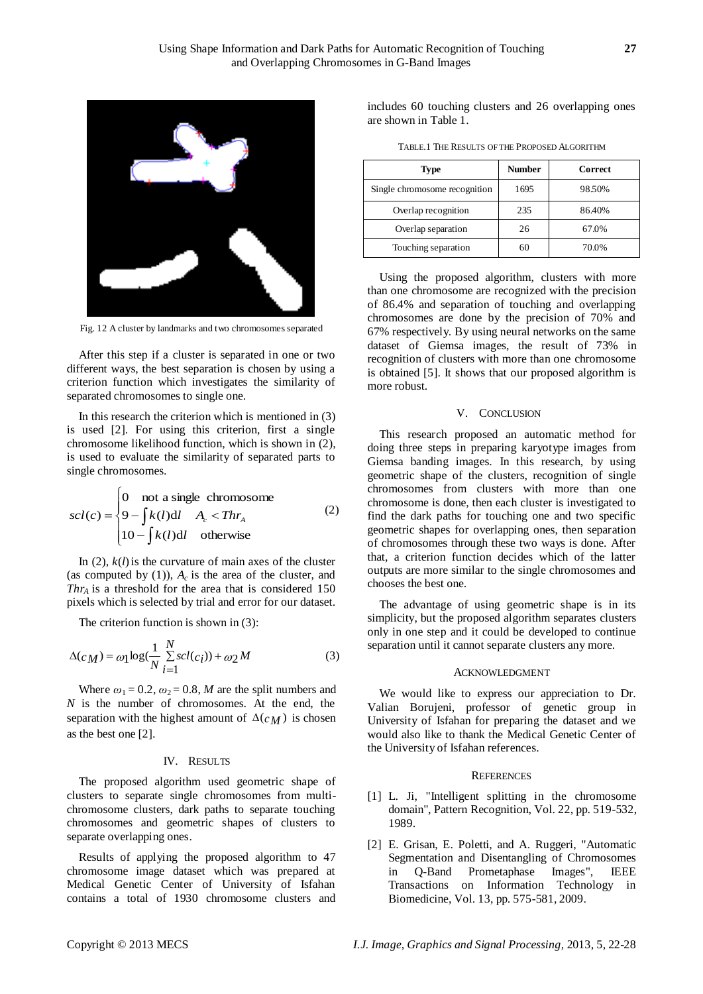

Fig. 12 A cluster by landmarks and two chromosomes separated

After this step if a cluster is separated in one or two different ways, the best separation is chosen by using a criterion function which investigates the similarity of separated chromosomes to single one.

In this research the criterion which is mentioned in (3) is used [2]. For using this criterion, first a single chromosome likelihood function, which is shown in (2), is used to evaluate the similarity of separated parts to single chromosomes.

$$
scl(c) = \begin{cases} 0 & \text{not a single chromosome} \\ 9 - \int k(l)dl & A_c < Thr_A \\ 10 - \int k(l)dl & \text{otherwise} \end{cases}
$$
 (2)

In  $(2)$ ,  $k(l)$  is the curvature of main axes of the cluster (as computed by  $(1)$ ),  $A_c$  is the area of the cluster, and *Thr<sup>A</sup>* is a threshold for the area that is considered 150 pixels which is selected by trial and error for our dataset.

The criterion function is shown in (3):

$$
\Delta(c_M) = \omega_1 \log(\frac{1}{N} \sum_{i=1}^{N} scl(c_i)) + \omega_2 M \tag{3}
$$

Where  $\omega_1 = 0.2$ ,  $\omega_2 = 0.8$ , *M* are the split numbers and *N* is the number of chromosomes. At the end, the separation with the highest amount of  $\Delta(c_M)$  is chosen as the best one [2].

## IV. RESULTS

The proposed algorithm used geometric shape of clusters to separate single chromosomes from multichromosome clusters, dark paths to separate touching chromosomes and geometric shapes of clusters to separate overlapping ones.

Results of applying the proposed algorithm to 47 chromosome image dataset which was prepared at Medical Genetic Center of University of Isfahan contains a total of 1930 chromosome clusters and includes 60 touching clusters and 26 overlapping ones are shown in Table 1.

TABLE.1 THE RESULTS OF THE PROPOSED ALGORITHM

| Type                          | Number | <b>Correct</b> |
|-------------------------------|--------|----------------|
| Single chromosome recognition | 1695   | 98.50%         |
| Overlap recognition           | 235    | 86.40%         |
| Overlap separation            | 26     | 67.0%          |
| Touching separation           | 60     | 70.0%          |

Using the proposed algorithm, clusters with more than one chromosome are recognized with the precision of 86.4% and separation of touching and overlapping chromosomes are done by the precision of 70% and 67% respectively. By using neural networks on the same dataset of Giemsa images, the result of 73% in recognition of clusters with more than one chromosome is obtained [5]. It shows that our proposed algorithm is more robust.

### V. CONCLUSION

This research proposed an automatic method for doing three steps in preparing karyotype images from Giemsa banding images. In this research, by using geometric shape of the clusters, recognition of single chromosomes from clusters with more than one chromosome is done, then each cluster is investigated to find the dark paths for touching one and two specific geometric shapes for overlapping ones, then separation of chromosomes through these two ways is done. After that, a criterion function decides which of the latter outputs are more similar to the single chromosomes and chooses the best one.

The advantage of using geometric shape is in its simplicity, but the proposed algorithm separates clusters only in one step and it could be developed to continue separation until it cannot separate clusters any more.

#### ACKNOWLEDGMENT

We would like to express our appreciation to Dr. Valian Borujeni, professor of genetic group in University of Isfahan for preparing the dataset and we would also like to thank the Medical Genetic Center of the University of Isfahan references.

#### **REFERENCES**

- [1] L. Ji, "Intelligent splitting in the chromosome domain", Pattern Recognition, Vol. 22, pp. 519-532, 1989.
- [2] E. Grisan, E. Poletti, and A. Ruggeri, "Automatic Segmentation and Disentangling of Chromosomes in Q-Band Prometaphase Images", IEEE Transactions on Information Technology in Biomedicine, Vol. 13, pp. 575-581, 2009.